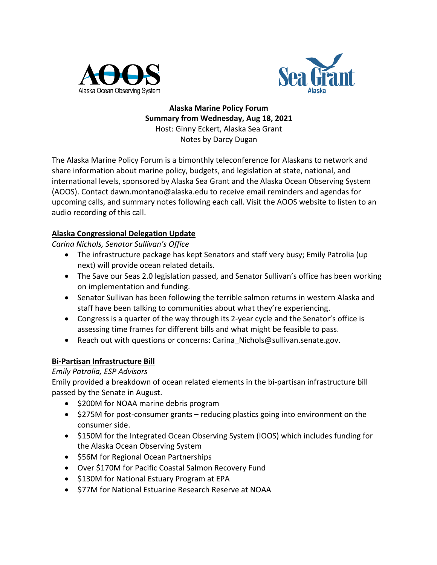



**Alaska Marine Policy Forum Summary from Wednesday, Aug 18, 2021** Host: Ginny Eckert, Alaska Sea Grant Notes by Darcy Dugan

The Alaska Marine Policy Forum is a bimonthly teleconference for Alaskans to network and share information about marine policy, budgets, and legislation at state, national, and international levels, sponsored by Alaska Sea Grant and the Alaska Ocean Observing System (AOOS). Contact dawn.montano@alaska.edu to receive email reminders and agendas for upcoming calls, and summary notes following each call. Visit the AOOS website to listen to an audio recording of this call.

### **Alaska Congressional Delegation Update**

*Carina Nichols, Senator Sullivan's Office*

- The infrastructure package has kept Senators and staff very busy; Emily Patrolia (up next) will provide ocean related details.
- The Save our Seas 2.0 legislation passed, and Senator Sullivan's office has been working on implementation and funding.
- Senator Sullivan has been following the terrible salmon returns in western Alaska and staff have been talking to communities about what they're experiencing.
- Congress is a quarter of the way through its 2-year cycle and the Senator's office is assessing time frames for different bills and what might be feasible to pass.
- Reach out with questions or concerns: Carina Nichols@sullivan.senate.gov.

# **Bi-Partisan Infrastructure Bill**

# *Emily Patrolia, ESP Advisors*

Emily provided a breakdown of ocean related elements in the bi-partisan infrastructure bill passed by the Senate in August.

- \$200M for NOAA marine debris program
- \$275M for post-consumer grants reducing plastics going into environment on the consumer side.
- \$150M for the Integrated Ocean Observing System (IOOS) which includes funding for the Alaska Ocean Observing System
- \$56M for Regional Ocean Partnerships
- Over \$170M for Pacific Coastal Salmon Recovery Fund
- \$130M for National Estuary Program at EPA
- \$77M for National Estuarine Research Reserve at NOAA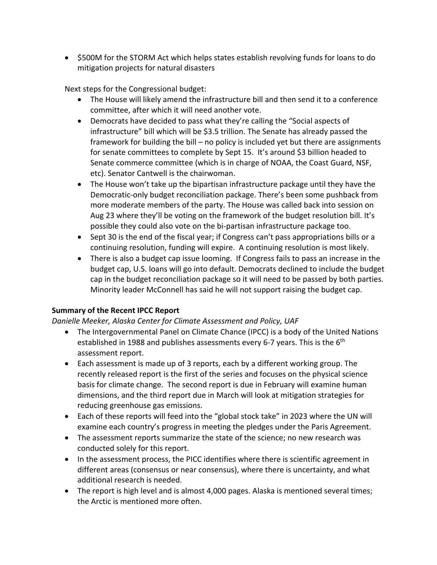• \$500M for the STORM Act which helps states establish revolving funds for loans to do mitigation projects for natural disasters

Next steps for the Congressional budget:

- The House will likely amend the infrastructure bill and then send it to a conference committee, after which it will need another vote.
- Democrats have decided to pass what they're calling the "Social aspects of infrastructure" bill which will be \$3.5 trillion. The Senate has already passed the framework for building the bill – no policy is included yet but there are assignments for senate committees to complete by Sept 15. It's around \$3 billion headed to Senate commerce committee (which is in charge of NOAA, the Coast Guard, NSF, etc). Senator Cantwell is the chairwoman.
- The House won't take up the bipartisan infrastructure package until they have the Democratic-only budget reconciliation package. There's been some pushback from more moderate members of the party. The House was called back into session on Aug 23 where they'll be voting on the framework of the budget resolution bill. It's possible they could also vote on the bi-partisan infrastructure package too.
- Sept 30 is the end of the fiscal year; if Congress can't pass appropriations bills or a continuing resolution, funding will expire. A continuing resolution is most likely.
- There is also a budget cap issue looming. If Congress fails to pass an increase in the budget cap, U.S. loans will go into default. Democrats declined to include the budget cap in the budget reconciliation package so it will need to be passed by both parties. Minority leader McConnell has said he will not support raising the budget cap.

### **Summary of the Recent IPCC Report**

#### *Danielle Meeker, Alaska Center for Climate Assessment and Policy, UAF*

- The Intergovernmental Panel on Climate Chance (IPCC) is a body of the United Nations established in 1988 and publishes assessments every 6-7 years. This is the 6<sup>th</sup> assessment report.
- Each assessment is made up of 3 reports, each by a different working group. The recently released report is the first of the series and focuses on the physical science basis for climate change. The second report is due in February will examine human dimensions, and the third report due in March will look at mitigation strategies for reducing greenhouse gas emissions.
- Each of these reports will feed into the "global stock take" in 2023 where the UN will examine each country's progress in meeting the pledges under the Paris Agreement.
- The assessment reports summarize the state of the science; no new research was conducted solely for this report.
- In the assessment process, the PICC identifies where there is scientific agreement in different areas (consensus or near consensus), where there is uncertainty, and what additional research is needed.
- The report is high level and is almost 4,000 pages. Alaska is mentioned several times; the Arctic is mentioned more often.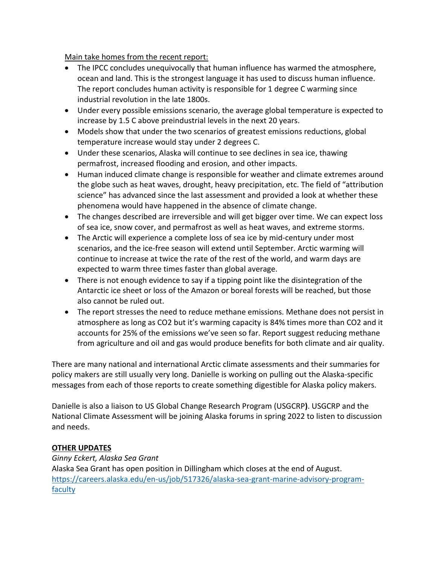Main take homes from the recent report:

- The IPCC concludes unequivocally that human influence has warmed the atmosphere, ocean and land. This is the strongest language it has used to discuss human influence. The report concludes human activity is responsible for 1 degree C warming since industrial revolution in the late 1800s.
- Under every possible emissions scenario, the average global temperature is expected to increase by 1.5 C above preindustrial levels in the next 20 years.
- Models show that under the two scenarios of greatest emissions reductions, global temperature increase would stay under 2 degrees C.
- Under these scenarios, Alaska will continue to see declines in sea ice, thawing permafrost, increased flooding and erosion, and other impacts.
- Human induced climate change is responsible for weather and climate extremes around the globe such as heat waves, drought, heavy precipitation, etc. The field of "attribution science" has advanced since the last assessment and provided a look at whether these phenomena would have happened in the absence of climate change.
- The changes described are irreversible and will get bigger over time. We can expect loss of sea ice, snow cover, and permafrost as well as heat waves, and extreme storms.
- The Arctic will experience a complete loss of sea ice by mid-century under most scenarios, and the ice-free season will extend until September. Arctic warming will continue to increase at twice the rate of the rest of the world, and warm days are expected to warm three times faster than global average.
- There is not enough evidence to say if a tipping point like the disintegration of the Antarctic ice sheet or loss of the Amazon or boreal forests will be reached, but those also cannot be ruled out.
- The report stresses the need to reduce methane emissions. Methane does not persist in atmosphere as long as CO2 but it's warming capacity is 84% times more than CO2 and it accounts for 25% of the emissions we've seen so far. Report suggest reducing methane from agriculture and oil and gas would produce benefits for both climate and air quality.

There are many national and international Arctic climate assessments and their summaries for policy makers are still usually very long. Danielle is working on pulling out the Alaska-specific messages from each of those reports to create something digestible for Alaska policy makers.

Danielle is also a liaison to US Global Change Research Program (USGCRP**)**. USGCRP and the National Climate Assessment will be joining Alaska forums in spring 2022 to listen to discussion and needs.

### **OTHER UPDATES**

*Ginny Eckert, Alaska Sea Grant* Alaska Sea Grant has open position in Dillingham which closes at the end of August. https://careers.alaska.edu/en-us/job/517326/alaska-sea-grant-marine-advisory-programfaculty